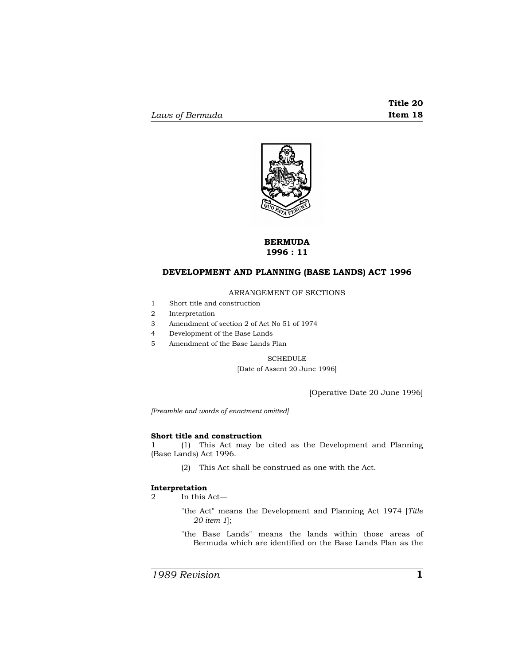

# **BERMUDA 1996 : 11**

# **DEVELOPMENT AND PLANNING (BASE LANDS) ACT 1996**

## ARRANGEMENT OF SECTIONS

- 1 Short title and construction
- 2 Interpretation
- 3 Amendment of section 2 of Act No 51 of 1974
- 4 Development of the Base Lands
- 5 Amendment of the Base Lands Plan

# SCHEDULE [Date of Assent 20 June 1996]

[Operative Date 20 June 1996]

*[Preamble and words of enactment omitted]* 

## **Short title and construction**

1 (1) This Act may be cited as the Development and Planning (Base Lands) Act 1996.

(2) This Act shall be construed as one with the Act.

### **Interpretation**

2 In this Act—

- "the Act" means the Development and Planning Act 1974 [*Title 20 item 1*];
- "the Base Lands" means the lands within those areas of Bermuda which are identified on the Base Lands Plan as the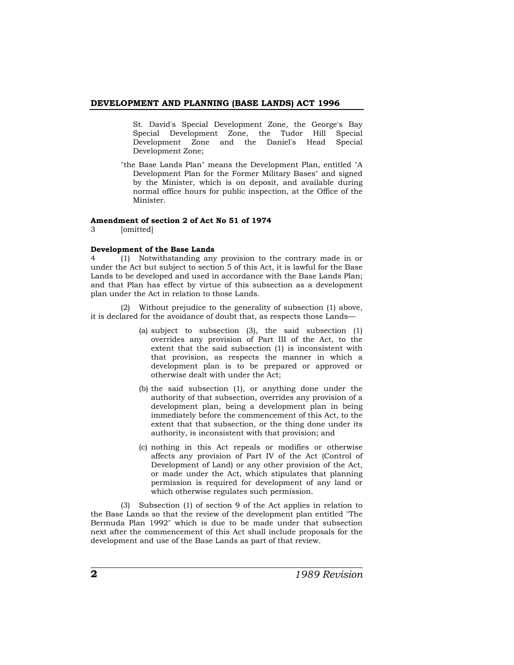#### **DEVELOPMENT AND PLANNING (BASE LANDS) ACT 1996**

St. David's Special Development Zone, the George's Bay Special Development Zone, the Tudor Hill Special Development Zone and the Daniel's Head Special Development Zone;

"the Base Lands Plan" means the Development Plan, entitled "A Development Plan for the Former Military Bases" and signed by the Minister, which is on deposit, and available during normal office hours for public inspection, at the Office of the Minister.

# **Amendment of section 2 of Act No 51 of 1974**

3 [omitted]

#### **Development of the Base Lands**

4 (1) Notwithstanding any provision to the contrary made in or under the Act but subject to section 5 of this Act, it is lawful for the Base Lands to be developed and used in accordance with the Base Lands Plan; and that Plan has effect by virtue of this subsection as a development plan under the Act in relation to those Lands.

(2) Without prejudice to the generality of subsection (1) above, it is declared for the avoidance of doubt that, as respects those Lands—

- (a) subject to subsection (3), the said subsection (1) overrides any provision of Part III of the Act, to the extent that the said subsection (1) is inconsistent with that provision, as respects the manner in which a development plan is to be prepared or approved or otherwise dealt with under the Act;
- (b) the said subsection (1), or anything done under the authority of that subsection, overrides any provision of a development plan, being a development plan in being immediately before the commencement of this Act, to the extent that that subsection, or the thing done under its authority, is inconsistent with that provision; and
- (c) nothing in this Act repeals or modifies or otherwise affects any provision of Part IV of the Act (Control of Development of Land) or any other provision of the Act, or made under the Act, which stipulates that planning permission is required for development of any land or which otherwise regulates such permission.

(3) Subsection (1) of section 9 of the Act applies in relation to the Base Lands so that the review of the development plan entitled "The Bermuda Plan 1992" which is due to be made under that subsection next after the commencement of this Act shall include proposals for the development and use of the Base Lands as part of that review.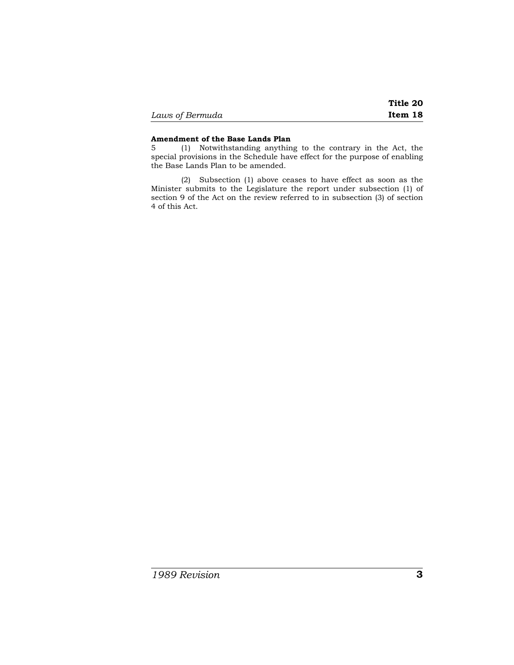|                 | Title 20 |
|-----------------|----------|
| Laws of Bermuda | Item 18  |

# **Amendment of the Base Lands Plan**

5 (1) Notwithstanding anything to the contrary in the Act, the special provisions in the Schedule have effect for the purpose of enabling the Base Lands Plan to be amended.

(2) Subsection (1) above ceases to have effect as soon as the Minister submits to the Legislature the report under subsection (1) of section 9 of the Act on the review referred to in subsection (3) of section 4 of this Act.